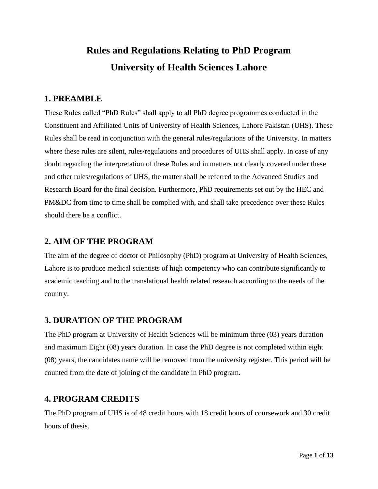# **Rules and Regulations Relating to PhD Program University of Health Sciences Lahore**

#### **1. PREAMBLE**

These Rules called "PhD Rules" shall apply to all PhD degree programmes conducted in the Constituent and Affiliated Units of University of Health Sciences, Lahore Pakistan (UHS). These Rules shall be read in conjunction with the general rules/regulations of the University. In matters where these rules are silent, rules/regulations and procedures of UHS shall apply. In case of any doubt regarding the interpretation of these Rules and in matters not clearly covered under these and other rules/regulations of UHS, the matter shall be referred to the Advanced Studies and Research Board for the final decision. Furthermore, PhD requirements set out by the HEC and PM&DC from time to time shall be complied with, and shall take precedence over these Rules should there be a conflict.

#### **2. AIM OF THE PROGRAM**

The aim of the degree of doctor of Philosophy (PhD) program at University of Health Sciences, Lahore is to produce medical scientists of high competency who can contribute significantly to academic teaching and to the translational health related research according to the needs of the country.

#### **3. DURATION OF THE PROGRAM**

The PhD program at University of Health Sciences will be minimum three (03) years duration and maximum Eight (08) years duration. In case the PhD degree is not completed within eight (08) years, the candidates name will be removed from the university register. This period will be counted from the date of joining of the candidate in PhD program.

#### **4. PROGRAM CREDITS**

The PhD program of UHS is of 48 credit hours with 18 credit hours of coursework and 30 credit hours of thesis.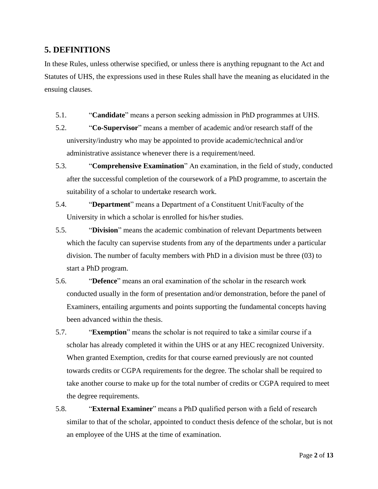#### **5. DEFINITIONS**

In these Rules, unless otherwise specified, or unless there is anything repugnant to the Act and Statutes of UHS, the expressions used in these Rules shall have the meaning as elucidated in the ensuing clauses.

- 5.1. "**Candidate**" means a person seeking admission in PhD programmes at UHS.
- 5.2. "**Co-Supervisor**" means a member of academic and/or research staff of the university/industry who may be appointed to provide academic/technical and/or administrative assistance whenever there is a requirement/need.
- 5.3. "**Comprehensive Examination**" An examination, in the field of study, conducted after the successful completion of the coursework of a PhD programme, to ascertain the suitability of a scholar to undertake research work.
- 5.4. "**Department**" means a Department of a Constituent Unit/Faculty of the University in which a scholar is enrolled for his/her studies.
- 5.5. "**Division**" means the academic combination of relevant Departments between which the faculty can supervise students from any of the departments under a particular division. The number of faculty members with PhD in a division must be three (03) to start a PhD program.
- 5.6. "**Defence**" means an oral examination of the scholar in the research work conducted usually in the form of presentation and/or demonstration, before the panel of Examiners, entailing arguments and points supporting the fundamental concepts having been advanced within the thesis.
- 5.7. "**Exemption**" means the scholar is not required to take a similar course if a scholar has already completed it within the UHS or at any HEC recognized University. When granted Exemption, credits for that course earned previously are not counted towards credits or CGPA requirements for the degree. The scholar shall be required to take another course to make up for the total number of credits or CGPA required to meet the degree requirements.
- 5.8. "**External Examiner**" means a PhD qualified person with a field of research similar to that of the scholar, appointed to conduct thesis defence of the scholar, but is not an employee of the UHS at the time of examination.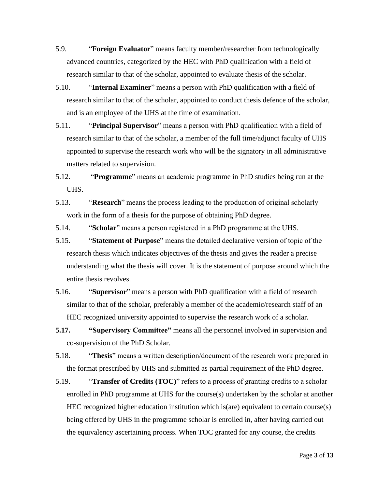- 5.9. "**Foreign Evaluator**" means faculty member/researcher from technologically advanced countries, categorized by the HEC with PhD qualification with a field of research similar to that of the scholar, appointed to evaluate thesis of the scholar.
- 5.10. "**Internal Examiner**" means a person with PhD qualification with a field of research similar to that of the scholar, appointed to conduct thesis defence of the scholar, and is an employee of the UHS at the time of examination.
- 5.11. "**Principal Supervisor**" means a person with PhD qualification with a field of research similar to that of the scholar, a member of the full time/adjunct faculty of UHS appointed to supervise the research work who will be the signatory in all administrative matters related to supervision.
- 5.12. "**Programme**" means an academic programme in PhD studies being run at the UHS.
- 5.13. "**Research**" means the process leading to the production of original scholarly work in the form of a thesis for the purpose of obtaining PhD degree.

5.14. "**Scholar**" means a person registered in a PhD programme at the UHS.

- 5.15. "**Statement of Purpose**" means the detailed declarative version of topic of the research thesis which indicates objectives of the thesis and gives the reader a precise understanding what the thesis will cover. It is the statement of purpose around which the entire thesis revolves.
- 5.16. "**Supervisor**" means a person with PhD qualification with a field of research similar to that of the scholar, preferably a member of the academic/research staff of an HEC recognized university appointed to supervise the research work of a scholar.
- **5.17. "Supervisory Committee"** means all the personnel involved in supervision and co-supervision of the PhD Scholar.
- 5.18. "**Thesis**" means a written description/document of the research work prepared in the format prescribed by UHS and submitted as partial requirement of the PhD degree.
- 5.19. "**Transfer of Credits (TOC)**" refers to a process of granting credits to a scholar enrolled in PhD programme at UHS for the course(s) undertaken by the scholar at another HEC recognized higher education institution which is(are) equivalent to certain course(s) being offered by UHS in the programme scholar is enrolled in, after having carried out the equivalency ascertaining process. When TOC granted for any course, the credits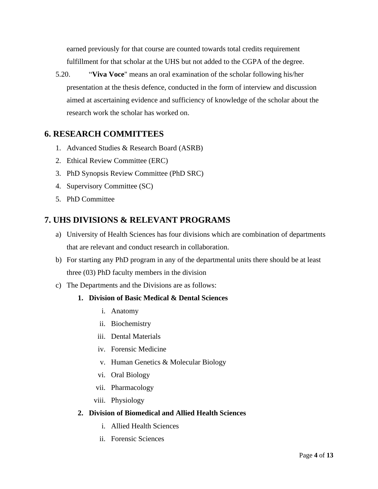earned previously for that course are counted towards total credits requirement fulfillment for that scholar at the UHS but not added to the CGPA of the degree.

5.20. "**Viva Voce**" means an oral examination of the scholar following his/her presentation at the thesis defence, conducted in the form of interview and discussion aimed at ascertaining evidence and sufficiency of knowledge of the scholar about the research work the scholar has worked on.

### **6. RESEARCH COMMITTEES**

- 1. Advanced Studies & Research Board (ASRB)
- 2. Ethical Review Committee (ERC)
- 3. PhD Synopsis Review Committee (PhD SRC)
- 4. Supervisory Committee (SC)
- 5. PhD Committee

### **7. UHS DIVISIONS & RELEVANT PROGRAMS**

- a) University of Health Sciences has four divisions which are combination of departments that are relevant and conduct research in collaboration.
- b) For starting any PhD program in any of the departmental units there should be at least three (03) PhD faculty members in the division
- c) The Departments and the Divisions are as follows:

#### **1. Division of Basic Medical & Dental Sciences**

- i. Anatomy
- ii. Biochemistry
- iii. Dental Materials
- iv. Forensic Medicine
- v. Human Genetics & Molecular Biology
- vi. Oral Biology
- vii. Pharmacology
- viii. Physiology

#### **2. Division of Biomedical and Allied Health Sciences**

- i. Allied Health Sciences
- ii. Forensic Sciences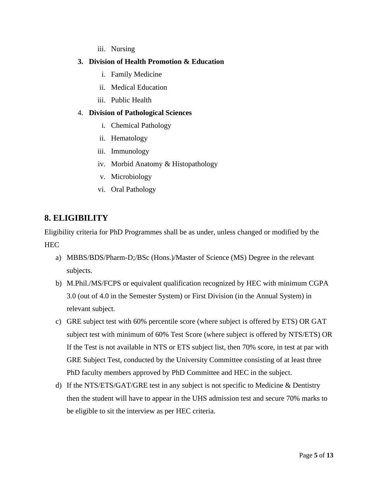iii. Nursing

#### **3. Division of Health Promotion & Education**

- i. Family Medicine
- ii. Medical Education
- iii. Public Health

#### 4. **Division of Pathological Sciences**

- i. Chemical Pathology
- ii. Hematology
- iii. Immunology
- iv. Morbid Anatomy & Histopathology
- v. Microbiology
- vi. Oral Pathology

### **8. ELIGIBILITY**

Eligibility criteria for PhD Programmes shall be as under, unless changed or modified by the **HEC** 

- a) MBBS/BDS/Pharm-D;/BSc (Hons.)/Master of Science (MS) Degree in the relevant subjects.
- b) M.Phil./MS/FCPS or equivalent qualification recognized by HEC with minimum CGPA 3.0 (out of 4.0 in the Semester System) or First Division (in the Annual System) in relevant subject.
- c) GRE subject test with 60% percentile score (where subject is offered by ETS) OR GAT subject test with minimum of 60% Test Score (where subject is offered by NTS/ETS) OR If the Test is not available in NTS or ETS subject list, then 70% score, in test at par with GRE Subject Test, conducted by the University Committee consisting of at least three PhD faculty members approved by PhD Committee and HEC in the subject.
- d) If the NTS/ETS/GAT/GRE test in any subject is not specific to Medicine & Dentistry then the student will have to appear in the UHS admission test and secure 70% marks to be eligible to sit the interview as per HEC criteria.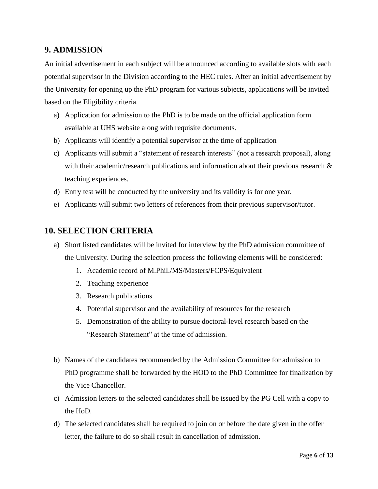#### **9. ADMISSION**

An initial advertisement in each subject will be announced according to available slots with each potential supervisor in the Division according to the HEC rules. After an initial advertisement by the University for opening up the PhD program for various subjects, applications will be invited based on the Eligibility criteria.

- a) Application for admission to the PhD is to be made on the official application form available at UHS website along with requisite documents.
- b) Applicants will identify a potential supervisor at the time of application
- c) Applicants will submit a "statement of research interests" (not a research proposal), along with their academic/research publications and information about their previous research & teaching experiences.
- d) Entry test will be conducted by the university and its validity is for one year.
- e) Applicants will submit two letters of references from their previous supervisor/tutor.

#### **10. SELECTION CRITERIA**

- a) Short listed candidates will be invited for interview by the PhD admission committee of the University. During the selection process the following elements will be considered:
	- 1. Academic record of M.Phil./MS/Masters/FCPS/Equivalent
	- 2. Teaching experience
	- 3. Research publications
	- 4. Potential supervisor and the availability of resources for the research
	- 5. Demonstration of the ability to pursue doctoral-level research based on the "Research Statement" at the time of admission.
- b) Names of the candidates recommended by the Admission Committee for admission to PhD programme shall be forwarded by the HOD to the PhD Committee for finalization by the Vice Chancellor.
- c) Admission letters to the selected candidates shall be issued by the PG Cell with a copy to the HoD.
- d) The selected candidates shall be required to join on or before the date given in the offer letter, the failure to do so shall result in cancellation of admission.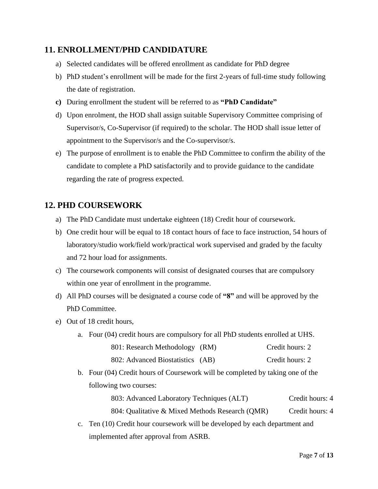### **11. ENROLLMENT/PHD CANDIDATURE**

- a) Selected candidates will be offered enrollment as candidate for PhD degree
- b) PhD student's enrollment will be made for the first 2-years of full-time study following the date of registration.
- **c)** During enrollment the student will be referred to as **"PhD Candidate"**
- d) Upon enrolment, the HOD shall assign suitable Supervisory Committee comprising of Supervisor/s, Co-Supervisor (if required) to the scholar. The HOD shall issue letter of appointment to the Supervisor/s and the Co-supervisor/s.
- e) The purpose of enrollment is to enable the PhD Committee to confirm the ability of the candidate to complete a PhD satisfactorily and to provide guidance to the candidate regarding the rate of progress expected.

### **12. PHD COURSEWORK**

- a) The PhD Candidate must undertake eighteen (18) Credit hour of coursework.
- b) One credit hour will be equal to 18 contact hours of face to face instruction, 54 hours of laboratory/studio work/field work/practical work supervised and graded by the faculty and 72 hour load for assignments.
- c) The coursework components will consist of designated courses that are compulsory within one year of enrollment in the programme.
- d) All PhD courses will be designated a course code of **"8"** and will be approved by the PhD Committee.
- e) Out of 18 credit hours,
	- a. Four (04) credit hours are compulsory for all PhD students enrolled at UHS.

| 801: Research Methodology (RM) |  |  | Credit hours: 2 |
|--------------------------------|--|--|-----------------|
|--------------------------------|--|--|-----------------|

| 802: Advanced Biostatistics (AB) | Credit hours: 2 |
|----------------------------------|-----------------|
|----------------------------------|-----------------|

b. Four (04) Credit hours of Coursework will be completed by taking one of the following two courses:

> 803: Advanced Laboratory Techniques (ALT) Credit hours: 4 804: Qualitative & Mixed Methods Research (QMR) Credit hours: 4

c. Ten (10) Credit hour coursework will be developed by each department and implemented after approval from ASRB.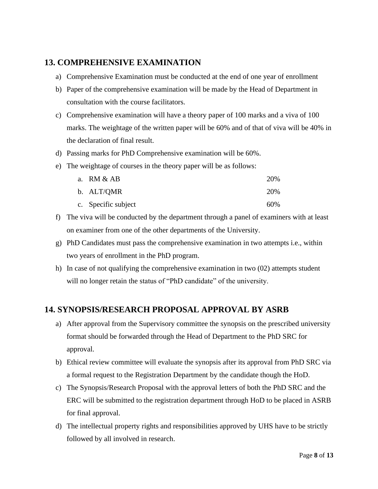### **13. COMPREHENSIVE EXAMINATION**

- a) Comprehensive Examination must be conducted at the end of one year of enrollment
- b) Paper of the comprehensive examination will be made by the Head of Department in consultation with the course facilitators.
- c) Comprehensive examination will have a theory paper of 100 marks and a viva of 100 marks. The weightage of the written paper will be 60% and of that of viva will be 40% in the declaration of final result.
- d) Passing marks for PhD Comprehensive examination will be 60%.
- e) The weightage of courses in the theory paper will be as follows:

| a. $RM & AB$        | 20% |
|---------------------|-----|
| b. ALT/QMR          | 20% |
| c. Specific subject | 60% |

- f) The viva will be conducted by the department through a panel of examiners with at least on examiner from one of the other departments of the University.
- g) PhD Candidates must pass the comprehensive examination in two attempts i.e., within two years of enrollment in the PhD program.
- h) In case of not qualifying the comprehensive examination in two (02) attempts student will no longer retain the status of "PhD candidate" of the university.

### **14. SYNOPSIS/RESEARCH PROPOSAL APPROVAL BY ASRB**

- a) After approval from the Supervisory committee the synopsis on the prescribed university format should be forwarded through the Head of Department to the PhD SRC for approval.
- b) Ethical review committee will evaluate the synopsis after its approval from PhD SRC via a formal request to the Registration Department by the candidate though the HoD.
- c) The Synopsis/Research Proposal with the approval letters of both the PhD SRC and the ERC will be submitted to the registration department through HoD to be placed in ASRB for final approval.
- d) The intellectual property rights and responsibilities approved by UHS have to be strictly followed by all involved in research.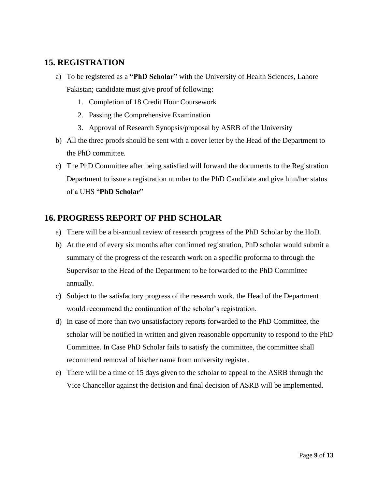### **15. REGISTRATION**

- a) To be registered as a **"PhD Scholar"** with the University of Health Sciences, Lahore Pakistan; candidate must give proof of following:
	- 1. Completion of 18 Credit Hour Coursework
	- 2. Passing the Comprehensive Examination
	- 3. Approval of Research Synopsis/proposal by ASRB of the University
- b) All the three proofs should be sent with a cover letter by the Head of the Department to the PhD committee.
- c) The PhD Committee after being satisfied will forward the documents to the Registration Department to issue a registration number to the PhD Candidate and give him/her status of a UHS "**PhD Scholar**"

### **16. PROGRESS REPORT OF PHD SCHOLAR**

- a) There will be a bi-annual review of research progress of the PhD Scholar by the HoD.
- b) At the end of every six months after confirmed registration, PhD scholar would submit a summary of the progress of the research work on a specific proforma to through the Supervisor to the Head of the Department to be forwarded to the PhD Committee annually.
- c) Subject to the satisfactory progress of the research work, the Head of the Department would recommend the continuation of the scholar's registration.
- d) In case of more than two unsatisfactory reports forwarded to the PhD Committee, the scholar will be notified in written and given reasonable opportunity to respond to the PhD Committee. In Case PhD Scholar fails to satisfy the committee, the committee shall recommend removal of his/her name from university register.
- e) There will be a time of 15 days given to the scholar to appeal to the ASRB through the Vice Chancellor against the decision and final decision of ASRB will be implemented.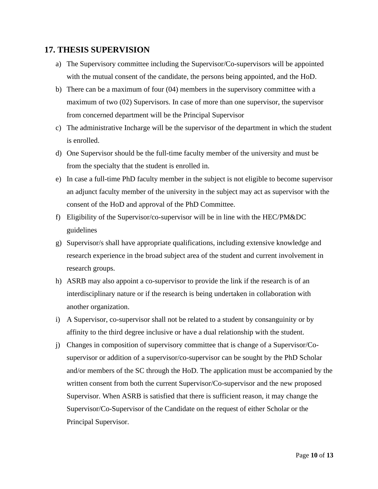#### **17. THESIS SUPERVISION**

- a) The Supervisory committee including the Supervisor/Co-supervisors will be appointed with the mutual consent of the candidate, the persons being appointed, and the HoD.
- b) There can be a maximum of four (04) members in the supervisory committee with a maximum of two (02) Supervisors. In case of more than one supervisor, the supervisor from concerned department will be the Principal Supervisor
- c) The administrative Incharge will be the supervisor of the department in which the student is enrolled.
- d) One Supervisor should be the full-time faculty member of the university and must be from the specialty that the student is enrolled in.
- e) In case a full-time PhD faculty member in the subject is not eligible to become supervisor an adjunct faculty member of the university in the subject may act as supervisor with the consent of the HoD and approval of the PhD Committee.
- f) Eligibility of the Supervisor/co-supervisor will be in line with the HEC/PM&DC guidelines
- g) Supervisor/s shall have appropriate qualifications, including extensive knowledge and research experience in the broad subject area of the student and current involvement in research groups.
- h) ASRB may also appoint a co-supervisor to provide the link if the research is of an interdisciplinary nature or if the research is being undertaken in collaboration with another organization.
- i) A Supervisor, co-supervisor shall not be related to a student by consanguinity or by affinity to the third degree inclusive or have a dual relationship with the student.
- j) Changes in composition of supervisory committee that is change of a Supervisor/Cosupervisor or addition of a supervisor/co-supervisor can be sought by the PhD Scholar and/or members of the SC through the HoD. The application must be accompanied by the written consent from both the current Supervisor/Co-supervisor and the new proposed Supervisor. When ASRB is satisfied that there is sufficient reason, it may change the Supervisor/Co-Supervisor of the Candidate on the request of either Scholar or the Principal Supervisor.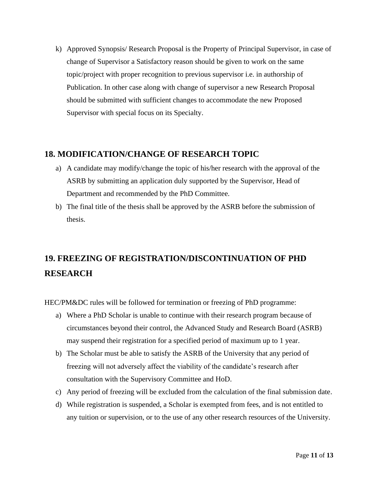k) Approved Synopsis/ Research Proposal is the Property of Principal Supervisor, in case of change of Supervisor a Satisfactory reason should be given to work on the same topic/project with proper recognition to previous supervisor i.e. in authorship of Publication. In other case along with change of supervisor a new Research Proposal should be submitted with sufficient changes to accommodate the new Proposed Supervisor with special focus on its Specialty.

### **18. MODIFICATION/CHANGE OF RESEARCH TOPIC**

- a) A candidate may modify/change the topic of his/her research with the approval of the ASRB by submitting an application duly supported by the Supervisor, Head of Department and recommended by the PhD Committee.
- b) The final title of the thesis shall be approved by the ASRB before the submission of thesis.

## **19. FREEZING OF REGISTRATION/DISCONTINUATION OF PHD RESEARCH**

HEC/PM&DC rules will be followed for termination or freezing of PhD programme:

- a) Where a PhD Scholar is unable to continue with their research program because of circumstances beyond their control, the Advanced Study and Research Board (ASRB) may suspend their registration for a specified period of maximum up to 1 year.
- b) The Scholar must be able to satisfy the ASRB of the University that any period of freezing will not adversely affect the viability of the candidate's research after consultation with the Supervisory Committee and HoD.
- c) Any period of freezing will be excluded from the calculation of the final submission date.
- d) While registration is suspended, a Scholar is exempted from fees, and is not entitled to any tuition or supervision, or to the use of any other research resources of the University.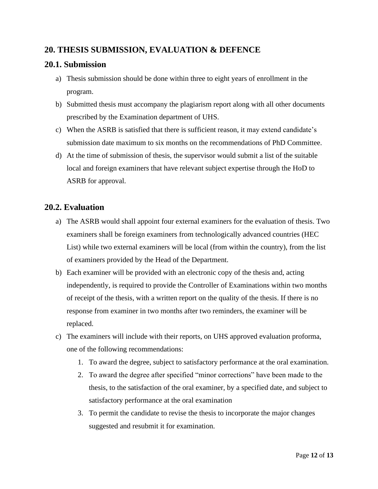### **20. THESIS SUBMISSION, EVALUATION & DEFENCE**

#### **20.1. Submission**

- a) Thesis submission should be done within three to eight years of enrollment in the program.
- b) Submitted thesis must accompany the plagiarism report along with all other documents prescribed by the Examination department of UHS.
- c) When the ASRB is satisfied that there is sufficient reason, it may extend candidate's submission date maximum to six months on the recommendations of PhD Committee.
- d) At the time of submission of thesis, the supervisor would submit a list of the suitable local and foreign examiners that have relevant subject expertise through the HoD to ASRB for approval.

### **20.2. Evaluation**

- a) The ASRB would shall appoint four external examiners for the evaluation of thesis. Two examiners shall be foreign examiners from technologically advanced countries (HEC List) while two external examiners will be local (from within the country), from the list of examiners provided by the Head of the Department.
- b) Each examiner will be provided with an electronic copy of the thesis and, acting independently, is required to provide the Controller of Examinations within two months of receipt of the thesis, with a written report on the quality of the thesis. If there is no response from examiner in two months after two reminders, the examiner will be replaced.
- c) The examiners will include with their reports, on UHS approved evaluation proforma, one of the following recommendations:
	- 1. To award the degree, subject to satisfactory performance at the oral examination.
	- 2. To award the degree after specified "minor corrections" have been made to the thesis, to the satisfaction of the oral examiner, by a specified date, and subject to satisfactory performance at the oral examination
	- 3. To permit the candidate to revise the thesis to incorporate the major changes suggested and resubmit it for examination.